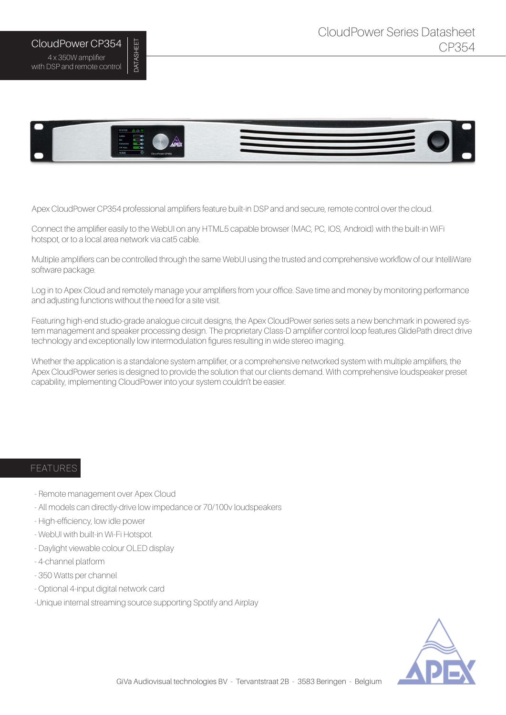## CloudPower CP354 4 x 350W amplifier with DSP and remote control

DATASHEET

**DATASHEET** 



Apex CloudPower CP354 professional amplifiers feature built-in DSP and and secure, remote control over the cloud.

Connect the amplifier easily to the WebUI on any HTML5 capable browser (MAC, PC, IOS, Android) with the built-in WiFi hotspot, or to a local area network via cat5 cable.

Multiple amplifiers can be controlled through the same WebUI using the trusted and comprehensive workflow of our IntelliWare software package.

Log in to Apex Cloud and remotely manage your amplifiers from your office. Save time and money by monitoring performance and adjusting functions without the need for a site visit.

Featuring high-end studio-grade analogue circuit designs, the Apex CloudPower series sets a new benchmark in powered system management and speaker processing design. The proprietary Class-D amplifier control loop features GlidePath direct drive technology and exceptionally low intermodulation figures resulting in wide stereo imaging.

Whether the application is a standalone system amplifier, or a comprehensive networked system with multiple amplifiers, the Apex CloudPower series is designed to provide the solution that our clients demand. With comprehensive loudspeaker preset capability, implementing CloudPower into your system couldn't be easier.

## FEATURES

- Remote management over Apex Cloud
- All models can directly-drive low impedance or 70/100v loudspeakers
- High-efficiency, low idle power
- WebUI with built-in Wi-Fi Hotspot.
- Daylight viewable colour OLED display
- 4-channel platform
- 350 Watts per channel
- Optional 4-input digital network card
- -Unique internal streaming source supporting Spotify and Airplay

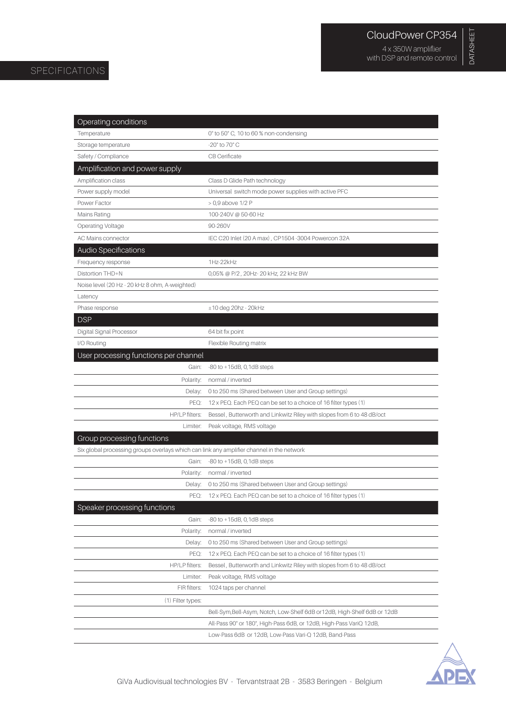DATASHEET

DATASHEET

with DSP and remote control

## SPECIFICATIONS

| Operating conditions                                                                      |                                                                          |
|-------------------------------------------------------------------------------------------|--------------------------------------------------------------------------|
| Temperature                                                                               | 0° to 50° C, 10 to 60 % non-condensing                                   |
| Storage temperature                                                                       | -20° to 70° C                                                            |
| Safety / Compliance                                                                       | <b>CB</b> Cerificate                                                     |
| Amplification and power supply                                                            |                                                                          |
| Amplification class                                                                       | Class D Glide Path technology                                            |
| Power supply model                                                                        | Universal switch mode power supplies with active PFC                     |
| Power Factor                                                                              | > 0,9 above 1/2 P                                                        |
| Mains Rating                                                                              | 100-240V @ 50-60 Hz                                                      |
| Operating Voltage                                                                         | 90-260V                                                                  |
| AC Mains connector                                                                        | IEC C20 Inlet (20 A max), CP1504-3004 Powercon 32A                       |
| Audio Specifications                                                                      |                                                                          |
| Frequency response                                                                        | 1Hz-22kHz                                                                |
| Distortion THD+N                                                                          | 0,05% @ P/2, 20Hz-20 kHz, 22 kHz BW                                      |
| Noise level (20 Hz - 20 kHz 8 ohm, A-weighted)                                            |                                                                          |
| Latency                                                                                   |                                                                          |
| Phase response                                                                            | $±10$ deg 20hz - 20kHz                                                   |
| <b>DSP</b>                                                                                |                                                                          |
| Digital Signal Processor                                                                  | 64 bit fix point                                                         |
| I/O Routing                                                                               | Flexible Routing matrix                                                  |
| User processing functions per channel                                                     |                                                                          |
| Gain:                                                                                     | $-80$ to $+15dB$ , 0, 1dB steps                                          |
| Polarity:                                                                                 | normal / inverted                                                        |
| Delay:                                                                                    | 0 to 250 ms (Shared between User and Group settings)                     |
| PEQ:                                                                                      | 12 x PEQ. Each PEQ can be set to a choice of 16 filter types (1)         |
| HP/LP filters:                                                                            | Bessel, Butterworth and Linkwitz Riley with slopes from 6 to 48 dB/oct   |
| Limiter:                                                                                  | Peak voltage, RMS voltage                                                |
| Group processing functions                                                                |                                                                          |
| Six global processing groups overlays which can link any amplifier channel in the network |                                                                          |
| Gain:                                                                                     | $-80$ to $+15dB$ , 0, 1dB steps                                          |
| Polarity:                                                                                 | normal / inverted                                                        |
|                                                                                           | Delay: 0 to 250 ms (Shared between User and Group settings)              |
| PFO:                                                                                      | 12 x PEQ. Each PEQ can be set to a choice of 16 filter types (1)         |
| Speaker processing functions                                                              |                                                                          |
| Gain:                                                                                     | $-80$ to $+15dB$ , 0, 1dB steps                                          |
| Polarity:                                                                                 | normal / inverted                                                        |
| Delay:                                                                                    | 0 to 250 ms (Shared between User and Group settings)                     |
| PEQ:                                                                                      | 12 x PEQ. Each PEQ can be set to a choice of 16 filter types (1)         |
| HP/LP filters:                                                                            | Bessel, Butterworth and Linkwitz Riley with slopes from 6 to 48 dB/oct   |
| Limiter:                                                                                  | Peak voltage, RMS voltage                                                |
| FIR filters:                                                                              | 1024 taps per channel                                                    |
| (1) Filter types:                                                                         |                                                                          |
|                                                                                           | Bell-Sym,Bell-Asym, Notch, Low-Shelf 6dB or 12dB, High-Shelf 6dB or 12dB |
|                                                                                           | All-Pass 90° or 180°, High-Pass 6dB, or 12dB, High-Pass VariQ 12dB,      |
|                                                                                           | Low-Pass 6dB or 12dB, Low-Pass Vari-Q 12dB, Band-Pass                    |

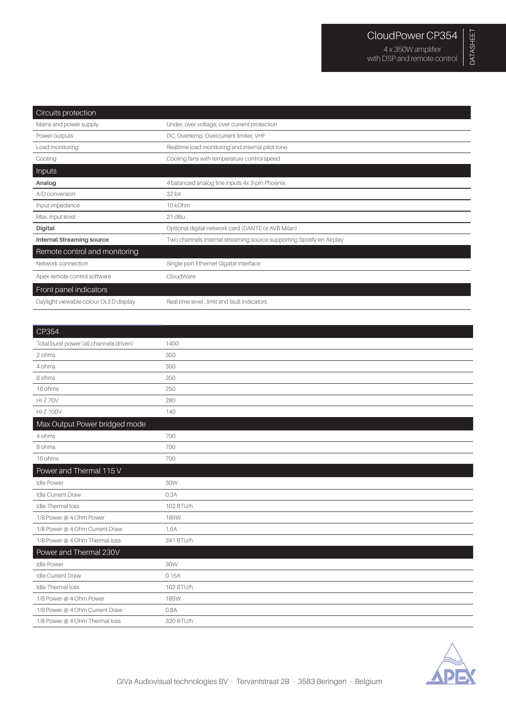| Circuits protection                   |                                                                      |
|---------------------------------------|----------------------------------------------------------------------|
| Mains and power supply                | Under, over voltage, over current protection                         |
| Power outputs                         | DC, Overtemp, Overcurrent limiter, VHF                               |
| Load monitoring                       | Realtime load monitoring and internal pilot tone                     |
| Cooling                               | Cooling fans with temperature control speed                          |
| Inputs                                |                                                                      |
| Analog                                | 4 balanced analog line inputs 4x 3-pin Phoenix                       |
| A/D conversion                        | 32 bit                                                               |
| Input impedance                       | 10 kOhm                                                              |
| Max. input level                      | 21 dBu                                                               |
| Digital                               | Optional digital network card (DANTE or AVB Milan)                   |
| <b>Internal Streaming source</b>      | Two channels internal streaming source supporting Spotify en Airplay |
| Remote control and monitoring         |                                                                      |
| Network connection                    | Single port Ethernet Gigabit interface                               |
| Apex remote control software          | CloudWare                                                            |
| Front panel indicators                |                                                                      |
| Daylight viewable colour OLED display | Real time level, limit and fault indicators                          |

 $\overline{\phantom{0}}$ 

| $\mid$ UPJ04                            |             |
|-----------------------------------------|-------------|
| Total burst power (all channels driven) | 1400        |
| 2 ohms                                  | 350         |
| 4 ohms                                  | 350         |
| 8 ohms                                  | 350         |
| 16 ohms                                 | 250         |
| Hi-Z 70V                                | 280         |
| <b>Hi-Z 100V</b>                        | 140         |
| Max Output Power bridged mode           |             |
| 4 ohms                                  | 700         |
| 8 ohms                                  | 700         |
| 16 ohms                                 | 700         |
| Power and Thermal 115 V                 |             |
| <b>Idle Power</b>                       | 30W         |
| Idle Current Draw                       | 0.3A        |
| Idle Thermal loss                       | 102 BTU/h   |
| 1/8 Power @ 4 Ohm Power                 | <b>185W</b> |
| 1/8 Power @ 4 Ohm Current Draw          | 1.6A        |
| 1/8 Power @ 4 Ohm Thermal loss          | 341 BTU/h   |
| Power and Thermal 230V                  |             |
| <b>Idle Power</b>                       | 30W         |
| Idle Current Draw                       | 0.15A       |
| Idle Thermal loss                       | 102 BTU/h   |
| 1/8 Power @ 4 Ohm Power                 | <b>185W</b> |
| 1/8 Power @ 4 Ohm Current Draw          | 0.8A        |
| 1/8 Power @ 4 Ohm Thermal loss          | 320 BTU/h   |
|                                         |             |